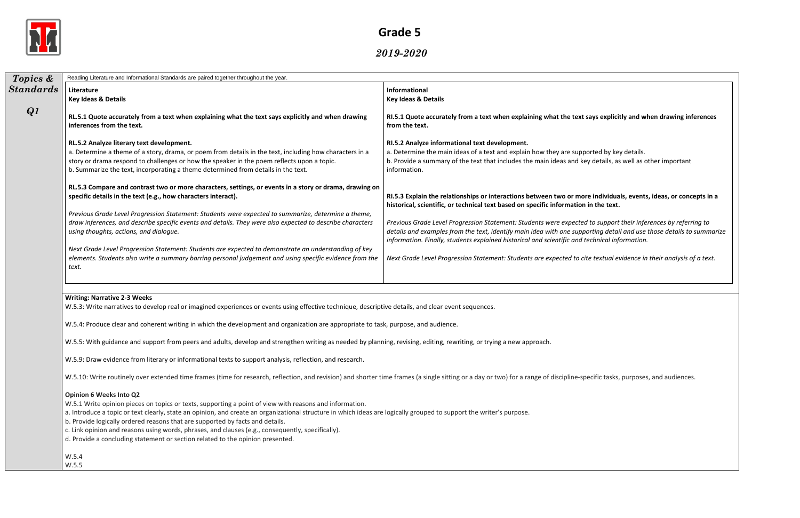

*2019-2020*

| Topics &         | Reading Literature and Informational Standards are paired together throughout the year.                                                                                                                                                                                                                                                                                                                                                                                                                                                                                                   |                                                                                                                                                                                                                          |  |  |  |
|------------------|-------------------------------------------------------------------------------------------------------------------------------------------------------------------------------------------------------------------------------------------------------------------------------------------------------------------------------------------------------------------------------------------------------------------------------------------------------------------------------------------------------------------------------------------------------------------------------------------|--------------------------------------------------------------------------------------------------------------------------------------------------------------------------------------------------------------------------|--|--|--|
| <b>Standards</b> | Literature<br><b>Key Ideas &amp; Details</b>                                                                                                                                                                                                                                                                                                                                                                                                                                                                                                                                              | Informational<br><b>Key Ideas &amp; Details</b>                                                                                                                                                                          |  |  |  |
| Q1               | RL.5.1 Quote accurately from a text when explaining what the text says explicitly and when drawing<br>inferences from the text.                                                                                                                                                                                                                                                                                                                                                                                                                                                           | RI.5.1 Quote accurately from a text when explaining what the text s<br>from the text.                                                                                                                                    |  |  |  |
|                  | RL.5.2 Analyze literary text development.<br>a. Determine a theme of a story, drama, or poem from details in the text, including how characters in a<br>story or drama respond to challenges or how the speaker in the poem reflects upon a topic.<br>b. Summarize the text, incorporating a theme determined from details in the text.                                                                                                                                                                                                                                                   | RI.5.2 Analyze informational text development.<br>a. Determine the main ideas of a text and explain how they are suppo<br>b. Provide a summary of the text that includes the main ideas and ket<br>information.          |  |  |  |
|                  | RL.5.3 Compare and contrast two or more characters, settings, or events in a story or drama, drawing on<br>specific details in the text (e.g., how characters interact).                                                                                                                                                                                                                                                                                                                                                                                                                  | RI.5.3 Explain the relationships or interactions between two or mor<br>historical, scientific, or technical text based on specific information                                                                           |  |  |  |
|                  | Previous Grade Level Progression Statement: Students were expected to summarize, determine a theme,<br>draw inferences, and describe specific events and details. They were also expected to describe characters<br>using thoughts, actions, and dialogue.                                                                                                                                                                                                                                                                                                                                | Previous Grade Level Progression Statement: Students were expected<br>details and examples from the text, identify main idea with one suppo<br>information. Finally, students explained historical and scientific and to |  |  |  |
|                  | Next Grade Level Progression Statement: Students are expected to demonstrate an understanding of key<br>elements. Students also write a summary barring personal judgement and using specific evidence from the<br>text.                                                                                                                                                                                                                                                                                                                                                                  | Next Grade Level Progression Statement: Students are expected to cit                                                                                                                                                     |  |  |  |
|                  | <b>Writing: Narrative 2-3 Weeks</b><br>W.5.3: Write narratives to develop real or imagined experiences or events using effective technique, descriptive details, and clear event sequences.<br>W.5.4: Produce clear and coherent writing in which the development and organization are appropriate to task, purpose, and audience.                                                                                                                                                                                                                                                        |                                                                                                                                                                                                                          |  |  |  |
|                  | W.5.5: With guidance and support from peers and adults, develop and strengthen writing as needed by planning, revising, editing, rewriting, or trying a new approach.                                                                                                                                                                                                                                                                                                                                                                                                                     |                                                                                                                                                                                                                          |  |  |  |
|                  | W.5.9: Draw evidence from literary or informational texts to support analysis, reflection, and research.                                                                                                                                                                                                                                                                                                                                                                                                                                                                                  |                                                                                                                                                                                                                          |  |  |  |
|                  | W.5.10: Write routinely over extended time frames (time for research, reflection, and revision) and shorter time frames (a single sitting or a day or two) for a range of discipline-spote.                                                                                                                                                                                                                                                                                                                                                                                               |                                                                                                                                                                                                                          |  |  |  |
|                  | <b>Opinion 6 Weeks Into Q2</b><br>W.5.1 Write opinion pieces on topics or texts, supporting a point of view with reasons and information.<br>a. Introduce a topic or text clearly, state an opinion, and create an organizational structure in which ideas are logically grouped to support the writer's purpose.<br>b. Provide logically ordered reasons that are supported by facts and details.<br>c. Link opinion and reasons using words, phrases, and clauses (e.g., consequently, specifically).<br>d. Provide a concluding statement or section related to the opinion presented. |                                                                                                                                                                                                                          |  |  |  |
|                  | W.5.4<br>W.5.5                                                                                                                                                                                                                                                                                                                                                                                                                                                                                                                                                                            |                                                                                                                                                                                                                          |  |  |  |

# says explicitly and when drawing inferences a. Deted by key details. ey details, as well as other important re individuals, events, ideas, or concepts in a **historical in the text.** *Previous Grade Level Progression Statement: Students were expected to support their inferences by referring to* oorting detail and use those details to summarize *information. Finally, students explained historical and scientific and technical information.* ite textual evidence in their analysis of a text.

becific tasks, purposes, and audiences.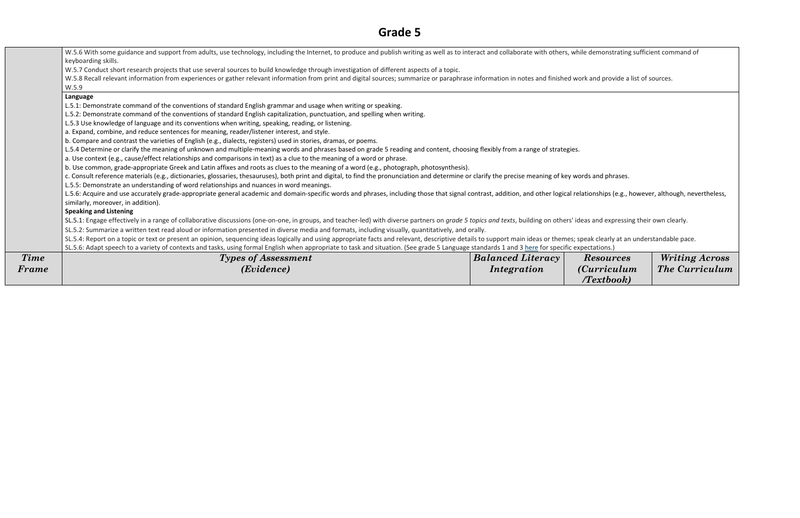| Frame       | ( <i>Evidence</i> )                                                                                                                                                                                                                                                                                                                                                                                      | <i>Integration</i>       | <i>(Curriculu:</i><br>Textbook |
|-------------|----------------------------------------------------------------------------------------------------------------------------------------------------------------------------------------------------------------------------------------------------------------------------------------------------------------------------------------------------------------------------------------------------------|--------------------------|--------------------------------|
| <b>Time</b> | <b>Types of Assessment</b>                                                                                                                                                                                                                                                                                                                                                                               | <b>Balanced Literacy</b> | <b>Resources</b>               |
|             | SL.5.4: Report on a topic or text or present an opinion, sequencing ideas logically and using appropriate facts and relevant, descriptive details to support main ideas or themes; speak clearly at ar<br>SL.5.6: Adapt speech to a variety of contexts and tasks, using formal English when appropriate to task and situation. (See grade 5 Language standards 1 and 3 here for specific expectations.) |                          |                                |
|             | SL.5.2: Summarize a written text read aloud or information presented in diverse media and formats, including visually, quantitatively, and orally.                                                                                                                                                                                                                                                       |                          |                                |
|             | SL.5.1: Engage effectively in a range of collaborative discussions (one-on-one, in groups, and teacher-led) with diverse partners on grade 5 topics and texts, building on others' ideas and expressii                                                                                                                                                                                                   |                          |                                |
|             | <b>Speaking and Listening</b>                                                                                                                                                                                                                                                                                                                                                                            |                          |                                |
|             | similarly, moreover, in addition).                                                                                                                                                                                                                                                                                                                                                                       |                          |                                |
|             | L.5.6: Acquire and use accurately grade-appropriate general academic and domain-specific words and phrases, including those that signal contrast, addition, and other logical relationships (e.g., I                                                                                                                                                                                                     |                          |                                |
|             | c. Consult reference materials (e.g., dictionaries, glossaries, thesauruses), both print and digital, to find the pronunciation and determine or clarify the precise meaning of key words and phrases.<br>L.5.5: Demonstrate an understanding of word relationships and nuances in word meanings.                                                                                                        |                          |                                |
|             | b. Use common, grade-appropriate Greek and Latin affixes and roots as clues to the meaning of a word (e.g., photograph, photosynthesis).                                                                                                                                                                                                                                                                 |                          |                                |
|             | a. Use context (e.g., cause/effect relationships and comparisons in text) as a clue to the meaning of a word or phrase.                                                                                                                                                                                                                                                                                  |                          |                                |
|             | L.5.4 Determine or clarify the meaning of unknown and multiple-meaning words and phrases based on grade 5 reading and content, choosing flexibly from a range of strategies.                                                                                                                                                                                                                             |                          |                                |
|             | b. Compare and contrast the varieties of English (e.g., dialects, registers) used in stories, dramas, or poems.                                                                                                                                                                                                                                                                                          |                          |                                |
|             | a. Expand, combine, and reduce sentences for meaning, reader/listener interest, and style.                                                                                                                                                                                                                                                                                                               |                          |                                |
|             | L.5.2: Demonstrate command of the conventions of standard English capitalization, punctuation, and spelling when writing.<br>L.5.3 Use knowledge of language and its conventions when writing, speaking, reading, or listening.                                                                                                                                                                          |                          |                                |
|             | L.5.1: Demonstrate command of the conventions of standard English grammar and usage when writing or speaking.                                                                                                                                                                                                                                                                                            |                          |                                |
|             | Language                                                                                                                                                                                                                                                                                                                                                                                                 |                          |                                |
|             | W.5.9                                                                                                                                                                                                                                                                                                                                                                                                    |                          |                                |
|             | W.5.7 Conduct short research projects that use several sources to build knowledge through investigation of different aspects of a topic.<br>W.5.8 Recall relevant information from experiences or gather relevant information from print and digital sources; summarize or paraphrase information in notes and finished work and provide a                                                               |                          |                                |
|             | keyboarding skills.                                                                                                                                                                                                                                                                                                                                                                                      |                          |                                |
|             | W.5.6 With some guidance and support from adults, use technology, including the Internet, to produce and publish writing as well as to interact and collaborate with others, while demonstrating                                                                                                                                                                                                         |                          |                                |

demonstrating sufficient command of

and provide a list of sources.

ionships (e.g., however, although, nevertheless,

s and expressing their own clearly.

ak clearly at an understandable pace.

*Resources (Curriculum /Textbook)*

*Writing Across The Curriculum*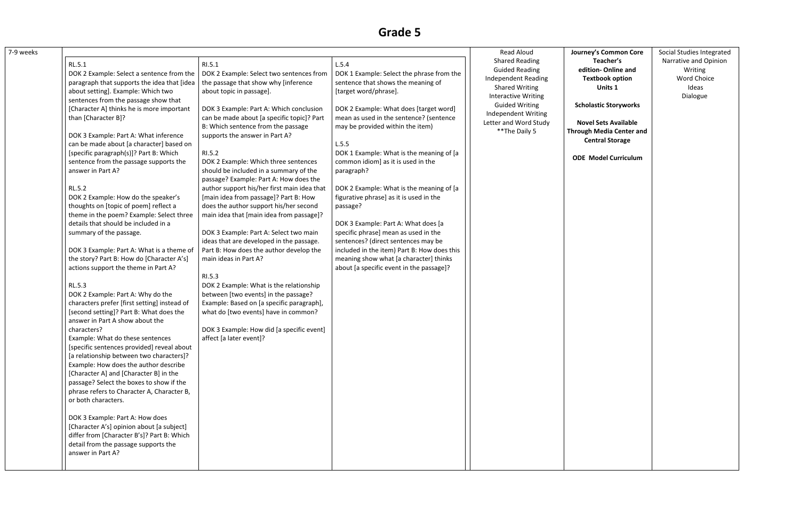| 7-9 weeks |                                                                                               |                                                                                                                                |                                                                                     | <b>Read Aloud</b>                                                            | Journe                             |
|-----------|-----------------------------------------------------------------------------------------------|--------------------------------------------------------------------------------------------------------------------------------|-------------------------------------------------------------------------------------|------------------------------------------------------------------------------|------------------------------------|
|           | RL.5.1                                                                                        | RI.5.1                                                                                                                         | L.5.4                                                                               | <b>Shared Reading</b>                                                        |                                    |
|           | DOK 2 Example: Select a sentence from the<br>paragraph that supports the idea that [idea      | DOK 2 Example: Select two sentences from<br>the passage that show why [inference                                               | DOK 1 Example: Select the phrase from the<br>sentence that shows the meaning of     | <b>Guided Reading</b><br><b>Independent Reading</b>                          | edit<br>Te                         |
|           | about setting]. Example: Which two<br>sentences from the passage show that                    | about topic in passage].                                                                                                       | [target word/phrase].                                                               | <b>Shared Writing</b><br><b>Interactive Writing</b>                          |                                    |
|           | [Character A] thinks he is more important<br>than [Character B]?                              | DOK 3 Example: Part A: Which conclusion<br>can be made about [a specific topic]? Part                                          | DOK 2 Example: What does [target word]<br>mean as used in the sentence? (sentence   | <b>Guided Writing</b><br><b>Independent Writing</b><br>Letter and Word Study | Schol                              |
|           | DOK 3 Example: Part A: What inference                                                         | B: Which sentence from the passage<br>supports the answer in Part A?                                                           | may be provided within the item)                                                    | ** The Daily 5                                                               | <b>Nov</b><br><b>Through</b><br>Cι |
|           | can be made about [a character] based on                                                      |                                                                                                                                | L.5.5                                                                               |                                                                              |                                    |
|           | [specific paragraph(s)]? Part B: Which<br>sentence from the passage supports the              | RI.5.2<br>DOK 2 Example: Which three sentences                                                                                 | DOK 1 Example: What is the meaning of [a<br>common idiom] as it is used in the      |                                                                              | <b>ODE</b>                         |
|           | answer in Part A?                                                                             | should be included in a summary of the<br>passage? Example: Part A: How does the                                               | paragraph?                                                                          |                                                                              |                                    |
|           | <b>RL.5.2</b><br>DOK 2 Example: How do the speaker's<br>thoughts on [topic of poem] reflect a | author support his/her first main idea that<br>[main idea from passage]? Part B: How<br>does the author support his/her second | DOK 2 Example: What is the meaning of [a<br>figurative phrase] as it is used in the |                                                                              |                                    |
|           | theme in the poem? Example: Select three<br>details that should be included in a              | main idea that [main idea from passage]?                                                                                       | passage?<br>DOK 3 Example: Part A: What does [a                                     |                                                                              |                                    |
|           | summary of the passage.                                                                       | DOK 3 Example: Part A: Select two main<br>ideas that are developed in the passage.                                             | specific phrase] mean as used in the<br>sentences? (direct sentences may be         |                                                                              |                                    |
|           | DOK 3 Example: Part A: What is a theme of                                                     | Part B: How does the author develop the                                                                                        | included in the item) Part B: How does this                                         |                                                                              |                                    |
|           | the story? Part B: How do [Character A's]<br>actions support the theme in Part A?             | main ideas in Part A?                                                                                                          | meaning show what [a character] thinks<br>about [a specific event in the passage]?  |                                                                              |                                    |
|           | <b>RL.5.3</b>                                                                                 | RI.5.3<br>DOK 2 Example: What is the relationship                                                                              |                                                                                     |                                                                              |                                    |
|           | DOK 2 Example: Part A: Why do the                                                             | between [two events] in the passage?                                                                                           |                                                                                     |                                                                              |                                    |
|           | characters prefer [first setting] instead of                                                  | Example: Based on [a specific paragraph],                                                                                      |                                                                                     |                                                                              |                                    |
|           | [second setting]? Part B: What does the<br>answer in Part A show about the                    | what do [two events] have in common?                                                                                           |                                                                                     |                                                                              |                                    |
|           | characters?<br>Example: What do these sentences                                               | DOK 3 Example: How did [a specific event]<br>affect [a later event]?                                                           |                                                                                     |                                                                              |                                    |
|           | [specific sentences provided] reveal about<br>[a relationship between two characters]?        |                                                                                                                                |                                                                                     |                                                                              |                                    |
|           | Example: How does the author describe<br>[Character A] and [Character B] in the               |                                                                                                                                |                                                                                     |                                                                              |                                    |
|           | passage? Select the boxes to show if the<br>phrase refers to Character A, Character B,        |                                                                                                                                |                                                                                     |                                                                              |                                    |
|           | or both characters.                                                                           |                                                                                                                                |                                                                                     |                                                                              |                                    |
|           | DOK 3 Example: Part A: How does<br>[Character A's] opinion about [a subject]                  |                                                                                                                                |                                                                                     |                                                                              |                                    |
|           | differ from [Character B's]? Part B: Which<br>detail from the passage supports the            |                                                                                                                                |                                                                                     |                                                                              |                                    |
|           | answer in Part A?                                                                             |                                                                                                                                |                                                                                     |                                                                              |                                    |

**edit Text** 

| ey's Common Core |
|------------------|
| Teacher's        |
| tion- Online and |
| extbook option   |
| Units 1          |
|                  |

**Scholastic Storyworks**

**Novel Sets Available Through Media Center and Central Storage**

**ODE Model Curriculum**

Social Studies Integrated Narrative and Opinion Writing Word Choice Ideas Dialogue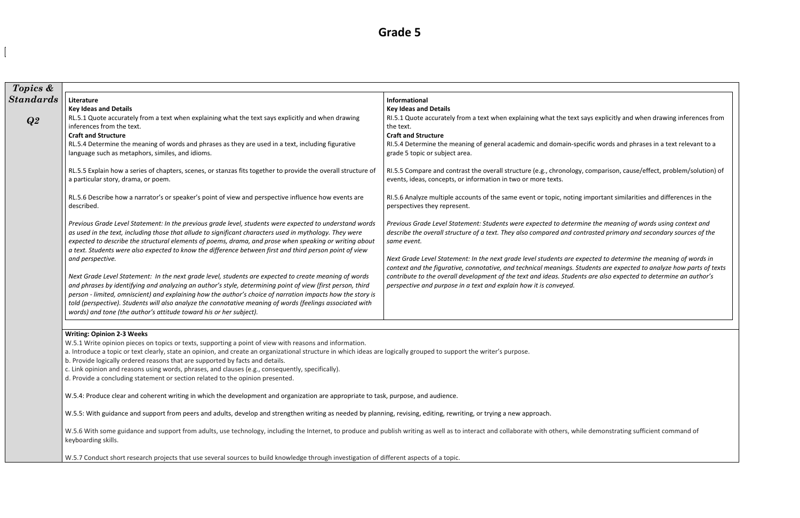| Topics &         |                                                                                                                                                                                                                                                                                                                                                                                                                                                                                                                                                                                                                                                                                                                                                                                                                                                                                                                                                                                     |                                                                                                                                                                                                                                                                                                                                                                                                                                                                                                                                                                                                                                                                                  |  |  |  |
|------------------|-------------------------------------------------------------------------------------------------------------------------------------------------------------------------------------------------------------------------------------------------------------------------------------------------------------------------------------------------------------------------------------------------------------------------------------------------------------------------------------------------------------------------------------------------------------------------------------------------------------------------------------------------------------------------------------------------------------------------------------------------------------------------------------------------------------------------------------------------------------------------------------------------------------------------------------------------------------------------------------|----------------------------------------------------------------------------------------------------------------------------------------------------------------------------------------------------------------------------------------------------------------------------------------------------------------------------------------------------------------------------------------------------------------------------------------------------------------------------------------------------------------------------------------------------------------------------------------------------------------------------------------------------------------------------------|--|--|--|
| <b>Standards</b> | Literature<br><b>Key Ideas and Details</b>                                                                                                                                                                                                                                                                                                                                                                                                                                                                                                                                                                                                                                                                                                                                                                                                                                                                                                                                          | Informational<br><b>Key Ideas and Details</b>                                                                                                                                                                                                                                                                                                                                                                                                                                                                                                                                                                                                                                    |  |  |  |
| Q2               | RL.5.1 Quote accurately from a text when explaining what the text says explicitly and when drawing<br>inferences from the text.<br><b>Craft and Structure</b><br>RL.5.4 Determine the meaning of words and phrases as they are used in a text, including figurative<br>language such as metaphors, similes, and idioms.                                                                                                                                                                                                                                                                                                                                                                                                                                                                                                                                                                                                                                                             | RI.5.1 Quote accurately from a text when explaining what the text says explicitly and when drawing inferences from<br>the text.<br><b>Craft and Structure</b><br>RI.5.4 Determine the meaning of general academic and domain-specific words and phrases in a text relevant to a<br>grade 5 topic or subject area.                                                                                                                                                                                                                                                                                                                                                                |  |  |  |
|                  | RL.5.5 Explain how a series of chapters, scenes, or stanzas fits together to provide the overall structure of<br>a particular story, drama, or poem.                                                                                                                                                                                                                                                                                                                                                                                                                                                                                                                                                                                                                                                                                                                                                                                                                                | RI.5.5 Compare and contrast the overall structure (e.g., chronology, comparison, cause/effect, problem/solution) of<br>events, ideas, concepts, or information in two or more texts.                                                                                                                                                                                                                                                                                                                                                                                                                                                                                             |  |  |  |
|                  | RL.5.6 Describe how a narrator's or speaker's point of view and perspective influence how events are<br>described.                                                                                                                                                                                                                                                                                                                                                                                                                                                                                                                                                                                                                                                                                                                                                                                                                                                                  | RI.5.6 Analyze multiple accounts of the same event or topic, noting important similarities and differences in the<br>perspectives they represent.                                                                                                                                                                                                                                                                                                                                                                                                                                                                                                                                |  |  |  |
|                  | Previous Grade Level Statement: In the previous grade level, students were expected to understand words<br>as used in the text, including those that allude to significant characters used in mythology. They were<br>expected to describe the structural elements of poems, drama, and prose when speaking or writing about<br>a text. Students were also expected to know the difference between first and third person point of view<br>and perspective.<br>Next Grade Level Statement: In the next grade level, students are expected to create meaning of words<br>and phrases by identifying and analyzing an author's style, determining point of view (first person, third<br>person - limited, omniscient) and explaining how the author's choice of narration impacts how the story is<br>told (perspective). Students will also analyze the connotative meaning of words (feelings associated with<br>words) and tone (the author's attitude toward his or her subject). | Previous Grade Level Statement: Students were expected to determine the meaning of words using context and<br>describe the overall structure of a text. They also compared and contrasted primary and secondary sources of the<br>same event.<br>Next Grade Level Statement: In the next grade level students are expected to determine the meaning of words in<br>context and the figurative, connotative, and technical meanings. Students are expected to analyze how parts of texts<br>contribute to the overall development of the text and ideas. Students are also expected to determine an author's<br>perspective and purpose in a text and explain how it is conveyed. |  |  |  |
|                  | <b>Writing: Opinion 2-3 Weeks</b>                                                                                                                                                                                                                                                                                                                                                                                                                                                                                                                                                                                                                                                                                                                                                                                                                                                                                                                                                   |                                                                                                                                                                                                                                                                                                                                                                                                                                                                                                                                                                                                                                                                                  |  |  |  |
|                  | W.5.1 Write opinion pieces on topics or texts, supporting a point of view with reasons and information.<br>a. Introduce a topic or text clearly, state an opinion, and create an organizational structure in which ideas are logically grouped to support the writer's purpose.<br>b. Provide logically ordered reasons that are supported by facts and details.<br>c. Link opinion and reasons using words, phrases, and clauses (e.g., consequently, specifically).<br>d. Provide a concluding statement or section related to the opinion presented.                                                                                                                                                                                                                                                                                                                                                                                                                             |                                                                                                                                                                                                                                                                                                                                                                                                                                                                                                                                                                                                                                                                                  |  |  |  |
|                  | W.5.4: Produce clear and coherent writing in which the development and organization are appropriate to task, purpose, and audience.                                                                                                                                                                                                                                                                                                                                                                                                                                                                                                                                                                                                                                                                                                                                                                                                                                                 |                                                                                                                                                                                                                                                                                                                                                                                                                                                                                                                                                                                                                                                                                  |  |  |  |

W.5.5: With guidance and support from peers and adults, develop and strengthen writing as needed by planning, revising, editing, rewriting, or trying a new approach.

W.5.6 With some guidance and support from adults, use technology, including the Internet, to produce and publish writing as well as to interact and collaborate with others, while demonstrating sufficient command of keyboarding skills.

W.5.7 Conduct short research projects that use several sources to build knowledge through investigation of different aspects of a topic.

| lys explicitly and when drawing inferences from                                                                                              |
|----------------------------------------------------------------------------------------------------------------------------------------------|
| ific words and phrases in a text relevant to a                                                                                               |
| comparison, cause/effect, problem/solution) of                                                                                               |
| mportant similarities and differences in the                                                                                                 |
| e the meaning of words using context and<br>rasted primary and secondary sources of the                                                      |
| ected to determine the meaning of words in<br>dents are expected to analyze how parts of texts<br>are also expected to determine an author's |
|                                                                                                                                              |
|                                                                                                                                              |
|                                                                                                                                              |
|                                                                                                                                              |
|                                                                                                                                              |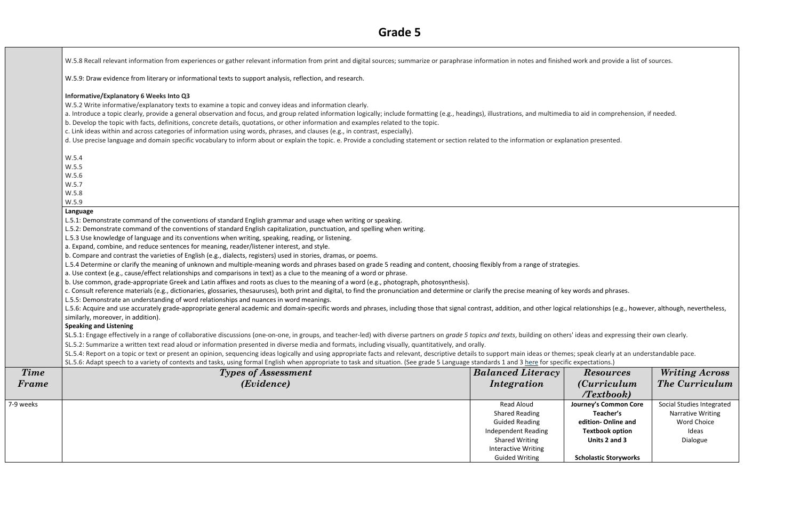W.5.8 Recall relevant information from experiences or gather relevant information from print and digital sources; summarize or paraphrase information in notes and finished work and provide a list of sources.

W.5.9: Draw evidence from literary or informational texts to support analysis, reflection, and research.

#### **Informative/Explanatory 6 Weeks Into Q3**

a. Introduce a topic clearly, provide a general observation and focus, and group related information logically; include formatting (e.g., headings), illustrations, and multimedia to aid in comprehension, if needed. b. Develop the topic with facts, definitions, concrete details, quotations, or other information and examples related to the topic.

W.5.2 Write informative/explanatory texts to examine a topic and convey ideas and information clearly.

c. Link ideas within and across categories of information using words, phrases, and clauses (e.g., in contrast, especially).

d. Use precise language and domain specific vocabulary to inform about or explain the topic. e. Provide a concluding statement or section related to the information or explanation presented.

|             | W.5.4                                                                                                                                                                                                  |                            |                           |  |  |
|-------------|--------------------------------------------------------------------------------------------------------------------------------------------------------------------------------------------------------|----------------------------|---------------------------|--|--|
|             | W.5.5                                                                                                                                                                                                  |                            |                           |  |  |
|             | W.5.6                                                                                                                                                                                                  |                            |                           |  |  |
|             | W.5.7                                                                                                                                                                                                  |                            |                           |  |  |
|             | W.5.8                                                                                                                                                                                                  |                            |                           |  |  |
|             | W.5.9                                                                                                                                                                                                  |                            |                           |  |  |
|             | Language                                                                                                                                                                                               |                            |                           |  |  |
|             | L.5.1: Demonstrate command of the conventions of standard English grammar and usage when writing or speaking.                                                                                          |                            |                           |  |  |
|             | L.5.2: Demonstrate command of the conventions of standard English capitalization, punctuation, and spelling when writing.                                                                              |                            |                           |  |  |
|             | L.5.3 Use knowledge of language and its conventions when writing, speaking, reading, or listening.                                                                                                     |                            |                           |  |  |
|             | a. Expand, combine, and reduce sentences for meaning, reader/listener interest, and style.                                                                                                             |                            |                           |  |  |
|             | b. Compare and contrast the varieties of English (e.g., dialects, registers) used in stories, dramas, or poems.                                                                                        |                            |                           |  |  |
|             | L.5.4 Determine or clarify the meaning of unknown and multiple-meaning words and phrases based on grade 5 reading and content, choosing flexibly from a range of strategies.                           |                            |                           |  |  |
|             | a. Use context (e.g., cause/effect relationships and comparisons in text) as a clue to the meaning of a word or phrase.                                                                                |                            |                           |  |  |
|             | b. Use common, grade-appropriate Greek and Latin affixes and roots as clues to the meaning of a word (e.g., photograph, photosynthesis).                                                               |                            |                           |  |  |
|             | c. Consult reference materials (e.g., dictionaries, glossaries, thesauruses), both print and digital, to find the pronunciation and determine or clarify the precise meaning of key words and phrases. |                            |                           |  |  |
|             | L.5.5: Demonstrate an understanding of word relationships and nuances in word meanings.                                                                                                                |                            |                           |  |  |
|             | L.5.6: Acquire and use accurately grade-appropriate general academic and domain-specific words and phrases, including those that signal contrast, addition, and other logical relationships (e.g., I   |                            |                           |  |  |
|             | similarly, moreover, in addition).                                                                                                                                                                     |                            |                           |  |  |
|             | <b>Speaking and Listening</b>                                                                                                                                                                          |                            |                           |  |  |
|             | SL.5.1: Engage effectively in a range of collaborative discussions (one-on-one, in groups, and teacher-led) with diverse partners on grade 5 topics and texts, building on others' ideas and expressii |                            |                           |  |  |
|             | SL.5.2: Summarize a written text read aloud or information presented in diverse media and formats, including visually, quantitatively, and orally.                                                     |                            |                           |  |  |
|             | SL.5.4: Report on a topic or text or present an opinion, sequencing ideas logically and using appropriate facts and relevant, descriptive details to support main ideas or themes; speak clearly at ar |                            |                           |  |  |
|             | SL.5.6: Adapt speech to a variety of contexts and tasks, using formal English when appropriate to task and situation. (See grade 5 Language standards 1 and 3 here for specific expectations.)         |                            |                           |  |  |
| <b>Time</b> | <b>Types of Assessment</b>                                                                                                                                                                             | <b>Balanced Literacy</b>   | <b>Resources</b>          |  |  |
| Frame       | ( <i>Evidence</i> )                                                                                                                                                                                    | Integration                | <i>(Curriculu:</i>        |  |  |
|             |                                                                                                                                                                                                        |                            |                           |  |  |
|             |                                                                                                                                                                                                        |                            | Textbook                  |  |  |
| 7-9 weeks   |                                                                                                                                                                                                        | <b>Read Aloud</b>          | Journey's Common          |  |  |
|             |                                                                                                                                                                                                        | <b>Shared Reading</b>      | Teacher's                 |  |  |
|             |                                                                                                                                                                                                        | <b>Guided Reading</b>      | edition-Online a          |  |  |
|             |                                                                                                                                                                                                        | <b>Independent Reading</b> | <b>Textbook option</b>    |  |  |
|             |                                                                                                                                                                                                        | <b>Shared Writing</b>      | Units 2 and 3             |  |  |
|             |                                                                                                                                                                                                        | <b>Interactive Writing</b> |                           |  |  |
|             |                                                                                                                                                                                                        | <b>Guided Writing</b>      | <b>Scholastic Storywo</b> |  |  |

ips (e.g., however, although, nevertheless,

expressing their own clearly.

Bearly at an understandable pace.

| <b>Resources</b><br><i>(Curriculum</i> )<br>Textbook | <b>Writing Across</b><br><b>The Curriculum</b> |
|------------------------------------------------------|------------------------------------------------|
| <b>Journey's Common Core</b>                         | Social Studies Integrated                      |
| Teacher's                                            | <b>Narrative Writing</b>                       |
| edition-Online and                                   | <b>Word Choice</b>                             |
| <b>Textbook option</b>                               | Ideas                                          |
| Units 2 and 3                                        | Dialogue                                       |
| <b>Scholastic Storyworks</b>                         |                                                |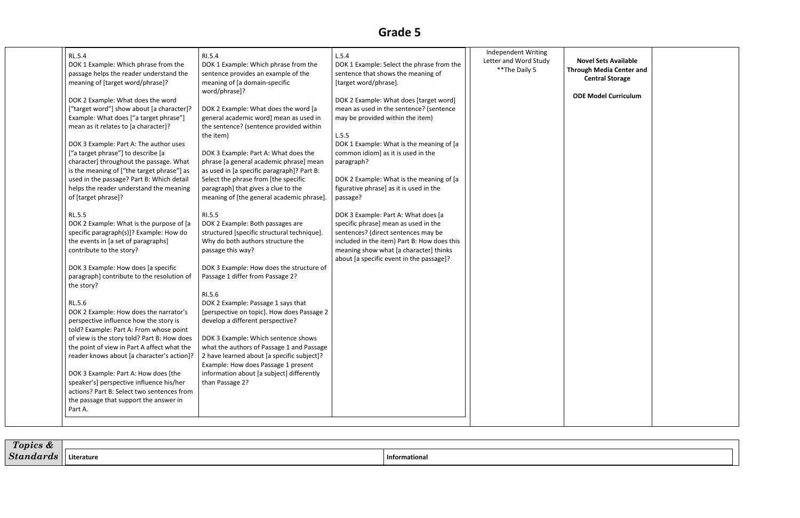| <b>RL.5.4</b>                                                                                                                                                                                                                                                                               | RI.5.4                                                                                                                                                                                                                    | L.5.4                                                                                                                                                                                                                                                   | Independent Writing                     |                              |
|---------------------------------------------------------------------------------------------------------------------------------------------------------------------------------------------------------------------------------------------------------------------------------------------|---------------------------------------------------------------------------------------------------------------------------------------------------------------------------------------------------------------------------|---------------------------------------------------------------------------------------------------------------------------------------------------------------------------------------------------------------------------------------------------------|-----------------------------------------|------------------------------|
| DOK 1 Example: Which phrase from the<br>passage helps the reader understand the<br>meaning of [target word/phrase]?                                                                                                                                                                         | DOK 1 Example: Which phrase from the<br>sentence provides an example of the<br>meaning of [a domain-specific<br>word/phrase]?                                                                                             | DOK 1 Example: Select the phrase from the<br>sentence that shows the meaning of<br>[target word/phrase].                                                                                                                                                | Letter and Word Study<br>** The Daily 5 | <b>Nov</b><br><b>Through</b> |
| DOK 2 Example: What does the word<br>["target word"] show about [a character]?<br>Example: What does ["a target phrase"]<br>mean as it relates to [a character]?<br>DOK 3 Example: Part A: The author uses<br>["a target phrase"] to describe [a<br>character] throughout the passage. What | DOK 2 Example: What does the word [a<br>general academic word] mean as used in<br>the sentence? (sentence provided within<br>the item)<br>DOK 3 Example: Part A: What does the<br>phrase [a general academic phrase] mean | DOK 2 Example: What does [target word]<br>mean as used in the sentence? (sentence<br>may be provided within the item)<br>L.5.5<br>DOK 1 Example: What is the meaning of [a<br>common idiom] as it is used in the<br>paragraph?                          |                                         | ODE <sub>I</sub>             |
| is the meaning of ["the target phrase"] as<br>used in the passage? Part B: Which detail<br>helps the reader understand the meaning<br>of [target phrase]?                                                                                                                                   | as used in [a specific paragraph]? Part B:<br>Select the phrase from [the specific<br>paragraph] that gives a clue to the<br>meaning of [the general academic phrase].                                                    | DOK 2 Example: What is the meaning of [a<br>figurative phrase] as it is used in the<br>passage?                                                                                                                                                         |                                         |                              |
| <b>RL.5.5</b><br>DOK 2 Example: What is the purpose of [a<br>specific paragraph(s)]? Example: How do<br>the events in [a set of paragraphs]<br>contribute to the story?                                                                                                                     | RI.5.5<br>DOK 2 Example: Both passages are<br>structured [specific structural technique].<br>Why do both authors structure the<br>passage this way?                                                                       | DOK 3 Example: Part A: What does [a<br>specific phrase] mean as used in the<br>sentences? (direct sentences may be<br>included in the item) Part B: How does this<br>meaning show what [a character] thinks<br>about [a specific event in the passage]? |                                         |                              |
| DOK 3 Example: How does [a specific<br>paragraph] contribute to the resolution of<br>the story?                                                                                                                                                                                             | DOK 3 Example: How does the structure of<br>Passage 1 differ from Passage 2?                                                                                                                                              |                                                                                                                                                                                                                                                         |                                         |                              |
| RL.5.6<br>DOK 2 Example: How does the narrator's<br>perspective influence how the story is<br>told? Example: Part A: From whose point                                                                                                                                                       | RI.5.6<br>DOK 2 Example: Passage 1 says that<br>[perspective on topic]. How does Passage 2<br>develop a different perspective?                                                                                            |                                                                                                                                                                                                                                                         |                                         |                              |
| of view is the story told? Part B: How does<br>the point of view in Part A affect what the<br>reader knows about [a character's action]?                                                                                                                                                    | DOK 3 Example: Which sentence shows<br>what the authors of Passage 1 and Passage<br>2 have learned about [a specific subject]?<br>Example: How does Passage 1 present                                                     |                                                                                                                                                                                                                                                         |                                         |                              |
| DOK 3 Example: Part A: How does [the<br>speaker's] perspective influence his/her<br>actions? Part B: Select two sentences from<br>the passage that support the answer in<br>Part A.                                                                                                         | information about [a subject] differently<br>than Passage 2?                                                                                                                                                              |                                                                                                                                                                                                                                                         |                                         |                              |

| <b>Novel Sets Available</b><br><b>Irough Media Center and</b><br><b>Central Storage</b> |  |
|-----------------------------------------------------------------------------------------|--|
| <b>ODE Model Curriculum</b>                                                             |  |
|                                                                                         |  |
|                                                                                         |  |
|                                                                                         |  |
|                                                                                         |  |
|                                                                                         |  |
|                                                                                         |  |
|                                                                                         |  |
|                                                                                         |  |
|                                                                                         |  |
|                                                                                         |  |
|                                                                                         |  |
|                                                                                         |  |
|                                                                                         |  |
|                                                                                         |  |
|                                                                                         |  |
|                                                                                         |  |
|                                                                                         |  |
|                                                                                         |  |
|                                                                                         |  |

| $\sqrt{ }$<br>lcs œ<br>. |            |                      |
|--------------------------|------------|----------------------|
| $\sim$ $\sim$<br>n.      | 'iterature | <b>Informational</b> |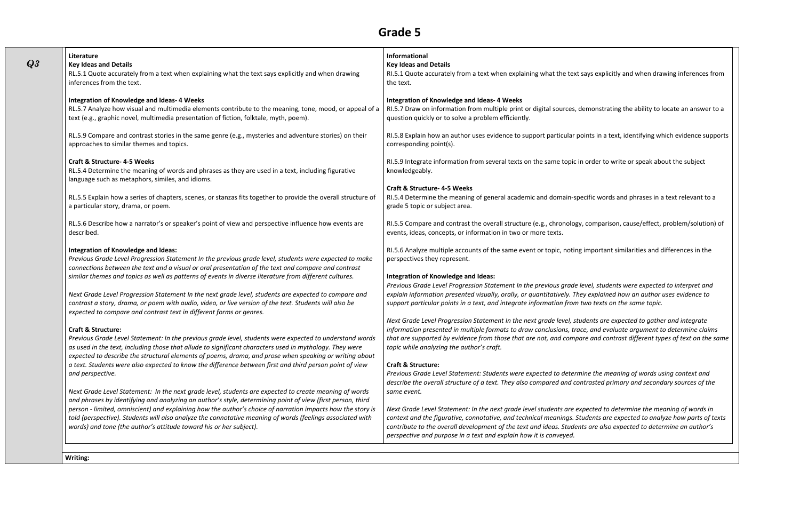| Literature<br><b>Key Ideas and Details</b><br>RL.5.1 Quote accurately from a text when explaining what the text says explicitly and when drawing<br>inferences from the text.                                                                                                                                                     | Informational<br><b>Key Ideas and Details</b><br>RI.5.1 Quote accurately from a text when explaining what the text says explicitly and when drawing inferences from<br>the text.                                                                                                                                                                                                                      |
|-----------------------------------------------------------------------------------------------------------------------------------------------------------------------------------------------------------------------------------------------------------------------------------------------------------------------------------|-------------------------------------------------------------------------------------------------------------------------------------------------------------------------------------------------------------------------------------------------------------------------------------------------------------------------------------------------------------------------------------------------------|
| <b>Integration of Knowledge and Ideas- 4 Weeks</b><br>RL.5.7 Analyze how visual and multimedia elements contribute to the meaning, tone, mood, or appeal of a<br>text (e.g., graphic novel, multimedia presentation of fiction, folktale, myth, poem).                                                                            | <b>Integration of Knowledge and Ideas- 4 Weeks</b><br>RI.5.7 Draw on information from multiple print or digital sources, demonstrating the ability to locate an answer to a<br>question quickly or to solve a problem efficiently.                                                                                                                                                                    |
| RL.5.9 Compare and contrast stories in the same genre (e.g., mysteries and adventure stories) on their<br>approaches to similar themes and topics.                                                                                                                                                                                | RI.5.8 Explain how an author uses evidence to support particular points in a text, identifying which evidence supports<br>corresponding point(s).                                                                                                                                                                                                                                                     |
| <b>Craft &amp; Structure-4-5 Weeks</b><br>RL.5.4 Determine the meaning of words and phrases as they are used in a text, including figurative                                                                                                                                                                                      | RI.5.9 Integrate information from several texts on the same topic in order to write or speak about the subject<br>knowledgeably.                                                                                                                                                                                                                                                                      |
| language such as metaphors, similes, and idioms.<br>RL.5.5 Explain how a series of chapters, scenes, or stanzas fits together to provide the overall structure of<br>a particular story, drama, or poem.                                                                                                                          | <b>Craft &amp; Structure-4-5 Weeks</b><br>RI.5.4 Determine the meaning of general academic and domain-specific words and phrases in a text relevant to a<br>grade 5 topic or subject area.                                                                                                                                                                                                            |
| RL.5.6 Describe how a narrator's or speaker's point of view and perspective influence how events are<br>described.                                                                                                                                                                                                                | RI.5.5 Compare and contrast the overall structure (e.g., chronology, comparison, cause/effect, problem/solution) of<br>events, ideas, concepts, or information in two or more texts.                                                                                                                                                                                                                  |
| Integration of Knowledge and Ideas:<br>Previous Grade Level Progression Statement In the previous grade level, students were expected to make<br>connections between the text and a visual or oral presentation of the text and compare and contrast                                                                              | RI.5.6 Analyze multiple accounts of the same event or topic, noting important similarities and differences in the<br>perspectives they represent.                                                                                                                                                                                                                                                     |
| similar themes and topics as well as patterns of events in diverse literature from different cultures.<br>Next Grade Level Progression Statement In the next grade level, students are expected to compare and                                                                                                                    | Integration of Knowledge and Ideas:<br>Previous Grade Level Progression Statement In the previous grade level, students were expected to interpret and<br>explain information presented visually, orally, or quantitatively. They explained how an author uses evidence to                                                                                                                            |
| contrast a story, drama, or poem with audio, video, or live version of the text. Students will also be<br>expected to compare and contrast text in different forms or genres.                                                                                                                                                     | support particular points in a text, and integrate information from two texts on the same topic.                                                                                                                                                                                                                                                                                                      |
| <b>Craft &amp; Structure:</b><br>Previous Grade Level Statement: In the previous grade level, students were expected to understand words<br>as used in the text, including those that allude to significant characters used in mythology. They were                                                                               | Next Grade Level Progression Statement In the next grade level, students are expected to gather and integrate<br>information presented in multiple formats to draw conclusions, trace, and evaluate argument to determine claims<br>that are supported by evidence from those that are not, and compare and contrast different types of text on the same<br>topic while analyzing the author's craft. |
| expected to describe the structural elements of poems, drama, and prose when speaking or writing about<br>a text. Students were also expected to know the difference between first and third person point of view<br>and perspective.                                                                                             | <b>Craft &amp; Structure:</b><br>Previous Grade Level Statement: Students were expected to determine the meaning of words using context and<br>describe the overall structure of a text. They also compared and contrasted primary and secondary sources of the                                                                                                                                       |
| Next Grade Level Statement: In the next grade level, students are expected to create meaning of words<br>and phrases by identifying and analyzing an author's style, determining point of view (first person, third<br>person - limited, omniscient) and explaining how the author's choice of narration impacts how the story is | same event.<br>Next Grade Level Statement: In the next grade level students are expected to determine the meaning of words in                                                                                                                                                                                                                                                                         |
| told (perspective). Students will also analyze the connotative meaning of words (feelings associated with<br>words) and tone (the author's attitude toward his or her subject).                                                                                                                                                   | context and the figurative, connotative, and technical meanings. Students are expected to analyze how parts of texts<br>contribute to the overall development of the text and ideas. Students are also expected to determine an author's<br>perspective and purpose in a text and explain how it is conveyed.                                                                                         |

**Writing:**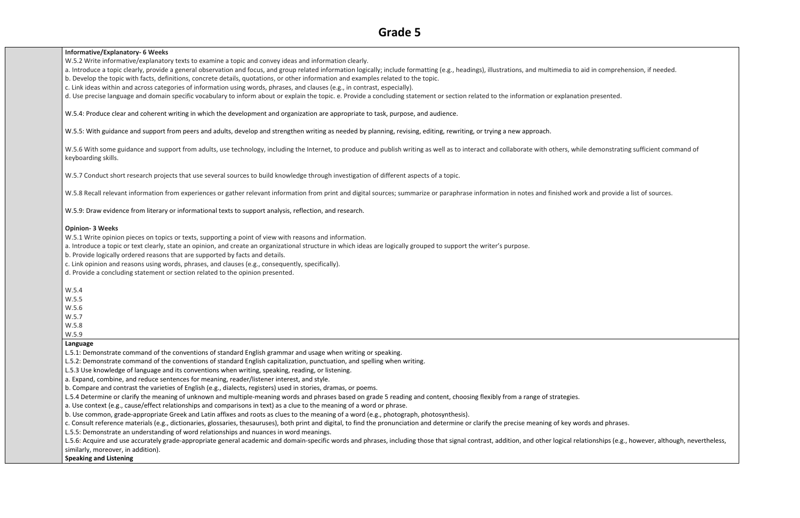#### **Informative/Explanatory- 6 Weeks**

W.5.2 Write informative/explanatory texts to examine a topic and convey ideas and information clearly.

a. Introduce a topic clearly, provide a general observation and focus, and group related information logically; include formatting (e.g., headings), illustrations, and multimedia to aid in comprehension, if needed. b. Develop the topic with facts, definitions, concrete details, quotations, or other information and examples related to the topic.

c. Link ideas within and across categories of information using words, phrases, and clauses (e.g., in contrast, especially).

W.5.6 With some guidance and support from adults, use technology, including the Internet, to produce and publish writing as well as to interact and collaborate with others, while demonstrating sufficient command of keyboarding skills.

W.5.7 Conduct short research projects that use several sources to build knowledge through investigation of different aspects of a topic.

W.5.8 Recall relevant information from experiences or gather relevant information from print and digital sources; summarize or paraphrase information in notes and finished work and provide a list of sources.

d. Use precise language and domain specific vocabulary to inform about or explain the topic. e. Provide a concluding statement or section related to the information or explanation presented.

W.5.4: Produce clear and coherent writing in which the development and organization are appropriate to task, purpose, and audience.

W.5.5: With guidance and support from peers and adults, develop and strengthen writing as needed by planning, revising, editing, rewriting, or trying a new approach.

W.5.9: Draw evidence from literary or informational texts to support analysis, reflection, and research.

#### **Opinion- 3 Weeks**

W.5.1 Write opinion pieces on topics or texts, supporting a point of view with reasons and information.

L.5.6: Acquire and use accurately grade-appropriate general academic and domain-specific words and phrases, including those that signal contrast, addition, and other logical relationships (e.g., however, although, neverthe similarly, moreover, in addition).

a. Introduce a topic or text clearly, state an opinion, and create an organizational structure in which ideas are logically grouped to support the writer's purpose.

b. Provide logically ordered reasons that are supported by facts and details.

c. Link opinion and reasons using words, phrases, and clauses (e.g., consequently, specifically).

d. Provide a concluding statement or section related to the opinion presented.

- W.5.4
- W.5.5
- W.5.6

W.5.7

W.5.8

W.5.9

#### **Language**

L.5.1: Demonstrate command of the conventions of standard English grammar and usage when writing or speaking.

L.5.2: Demonstrate command of the conventions of standard English capitalization, punctuation, and spelling when writing.

L.5.3 Use knowledge of language and its conventions when writing, speaking, reading, or listening.

a. Expand, combine, and reduce sentences for meaning, reader/listener interest, and style.

b. Compare and contrast the varieties of English (e.g., dialects, registers) used in stories, dramas, or poems.

L.5.4 Determine or clarify the meaning of unknown and multiple-meaning words and phrases based on grade 5 reading and content, choosing flexibly from a range of strategies.

a. Use context (e.g., cause/effect relationships and comparisons in text) as a clue to the meaning of a word or phrase.

b. Use common, grade-appropriate Greek and Latin affixes and roots as clues to the meaning of a word (e.g., photograph, photosynthesis).

c. Consult reference materials (e.g., dictionaries, glossaries, thesauruses), both print and digital, to find the pronunciation and determine or clarify the precise meaning of key words and phrases.

L.5.5: Demonstrate an understanding of word relationships and nuances in word meanings.

#### **Speaking and Listening**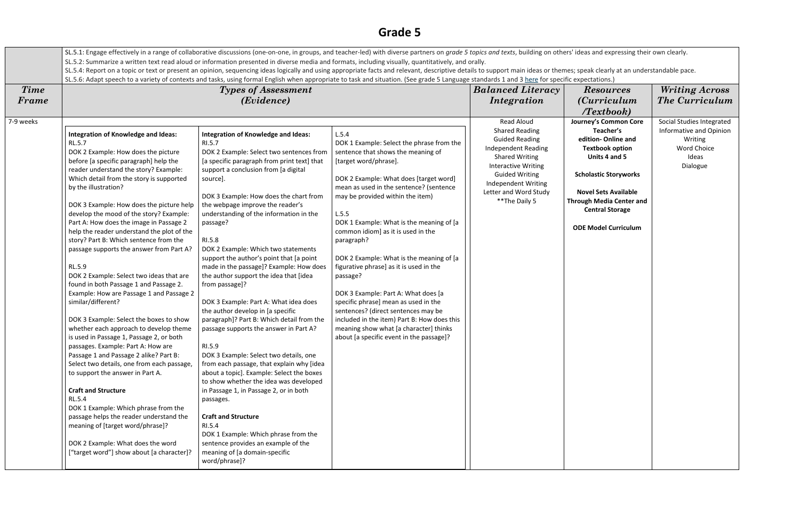|                                                                                                                                                    | SL.5.1: Engage effectively in a range of collaborative discussions (one-on-one, in groups, and teacher-led) with diverse partners on grade 5 topics and texts, building on others' ideas and expressing their own clearly.  |                                                                                |                                                                                                                                                                                                |                            |                                 |                           |
|----------------------------------------------------------------------------------------------------------------------------------------------------|-----------------------------------------------------------------------------------------------------------------------------------------------------------------------------------------------------------------------------|--------------------------------------------------------------------------------|------------------------------------------------------------------------------------------------------------------------------------------------------------------------------------------------|----------------------------|---------------------------------|---------------------------|
| SL.5.2: Summarize a written text read aloud or information presented in diverse media and formats, including visually, quantitatively, and orally. |                                                                                                                                                                                                                             |                                                                                |                                                                                                                                                                                                |                            |                                 |                           |
|                                                                                                                                                    | SL.5.4: Report on a topic or text or present an opinion, sequencing ideas logically and using appropriate facts and relevant, descriptive details to support main ideas or themes; speak clearly at an understandable pace. |                                                                                |                                                                                                                                                                                                |                            |                                 |                           |
|                                                                                                                                                    |                                                                                                                                                                                                                             |                                                                                | SL.5.6: Adapt speech to a variety of contexts and tasks, using formal English when appropriate to task and situation. (See grade 5 Language standards 1 and 3 here for specific expectations.) |                            |                                 |                           |
| <b>Time</b>                                                                                                                                        |                                                                                                                                                                                                                             | <b>Types of Assessment</b>                                                     |                                                                                                                                                                                                | <b>Balanced Literacy</b>   | <b>Resources</b>                | <b>Writing Across</b>     |
| Frame                                                                                                                                              |                                                                                                                                                                                                                             | ( <i>Evidence</i> )                                                            |                                                                                                                                                                                                | Integration                | <i>(Curriculum</i> )            | The Curriculum            |
|                                                                                                                                                    |                                                                                                                                                                                                                             |                                                                                |                                                                                                                                                                                                |                            | $T$ extbook)                    |                           |
| 7-9 weeks                                                                                                                                          |                                                                                                                                                                                                                             |                                                                                |                                                                                                                                                                                                | <b>Read Aloud</b>          | Journey's Common Core           | Social Studies Integrated |
|                                                                                                                                                    |                                                                                                                                                                                                                             |                                                                                |                                                                                                                                                                                                | <b>Shared Reading</b>      | Teacher's                       | Informative and Opinion   |
|                                                                                                                                                    | Integration of Knowledge and Ideas:                                                                                                                                                                                         | <b>Integration of Knowledge and Ideas:</b>                                     | L.5.4                                                                                                                                                                                          | <b>Guided Reading</b>      | edition-Online and              | Writing                   |
|                                                                                                                                                    | <b>RL.5.7</b>                                                                                                                                                                                                               | RI.5.7                                                                         | DOK 1 Example: Select the phrase from the                                                                                                                                                      | Independent Reading        | <b>Textbook option</b>          | <b>Word Choice</b>        |
|                                                                                                                                                    | DOK 2 Example: How does the picture                                                                                                                                                                                         | DOK 2 Example: Select two sentences from                                       | sentence that shows the meaning of                                                                                                                                                             | <b>Shared Writing</b>      | Units 4 and 5                   | Ideas                     |
|                                                                                                                                                    | before [a specific paragraph] help the                                                                                                                                                                                      | [a specific paragraph from print text] that                                    | [target word/phrase].                                                                                                                                                                          | <b>Interactive Writing</b> |                                 | Dialogue                  |
|                                                                                                                                                    | reader understand the story? Example:                                                                                                                                                                                       | support a conclusion from [a digital                                           |                                                                                                                                                                                                | <b>Guided Writing</b>      | <b>Scholastic Storyworks</b>    |                           |
|                                                                                                                                                    | Which detail from the story is supported<br>by the illustration?                                                                                                                                                            | source].                                                                       | DOK 2 Example: What does [target word]<br>mean as used in the sentence? (sentence                                                                                                              | Independent Writing        |                                 |                           |
|                                                                                                                                                    |                                                                                                                                                                                                                             | DOK 3 Example: How does the chart from                                         | may be provided within the item)                                                                                                                                                               | Letter and Word Study      | <b>Novel Sets Available</b>     |                           |
|                                                                                                                                                    | DOK 3 Example: How does the picture help                                                                                                                                                                                    | the webpage improve the reader's                                               |                                                                                                                                                                                                | ** The Daily 5             | <b>Through Media Center and</b> |                           |
|                                                                                                                                                    | develop the mood of the story? Example:                                                                                                                                                                                     | understanding of the information in the                                        | L.5.5                                                                                                                                                                                          |                            | <b>Central Storage</b>          |                           |
|                                                                                                                                                    | Part A: How does the image in Passage 2                                                                                                                                                                                     | passage?                                                                       | DOK 1 Example: What is the meaning of [a                                                                                                                                                       |                            |                                 |                           |
|                                                                                                                                                    | help the reader understand the plot of the                                                                                                                                                                                  |                                                                                | common idiom] as it is used in the                                                                                                                                                             |                            | <b>ODE Model Curriculum</b>     |                           |
|                                                                                                                                                    | story? Part B: Which sentence from the                                                                                                                                                                                      | RI.5.8                                                                         | paragraph?                                                                                                                                                                                     |                            |                                 |                           |
|                                                                                                                                                    | passage supports the answer from Part A?                                                                                                                                                                                    | DOK 2 Example: Which two statements                                            |                                                                                                                                                                                                |                            |                                 |                           |
|                                                                                                                                                    |                                                                                                                                                                                                                             | support the author's point that [a point                                       | DOK 2 Example: What is the meaning of [a                                                                                                                                                       |                            |                                 |                           |
|                                                                                                                                                    | RL.5.9                                                                                                                                                                                                                      | made in the passage]? Example: How does                                        | figurative phrase] as it is used in the                                                                                                                                                        |                            |                                 |                           |
|                                                                                                                                                    | DOK 2 Example: Select two ideas that are                                                                                                                                                                                    | the author support the idea that [idea                                         | passage?                                                                                                                                                                                       |                            |                                 |                           |
|                                                                                                                                                    | found in both Passage 1 and Passage 2.                                                                                                                                                                                      | from passage]?                                                                 |                                                                                                                                                                                                |                            |                                 |                           |
|                                                                                                                                                    | Example: How are Passage 1 and Passage 2                                                                                                                                                                                    |                                                                                | DOK 3 Example: Part A: What does [a                                                                                                                                                            |                            |                                 |                           |
|                                                                                                                                                    | similar/different?                                                                                                                                                                                                          | DOK 3 Example: Part A: What idea does                                          | specific phrase] mean as used in the                                                                                                                                                           |                            |                                 |                           |
|                                                                                                                                                    | DOK 3 Example: Select the boxes to show                                                                                                                                                                                     | the author develop in [a specific<br>paragraph]? Part B: Which detail from the | sentences? (direct sentences may be<br>included in the item) Part B: How does this                                                                                                             |                            |                                 |                           |
|                                                                                                                                                    | whether each approach to develop theme                                                                                                                                                                                      | passage supports the answer in Part A?                                         | meaning show what [a character] thinks                                                                                                                                                         |                            |                                 |                           |
|                                                                                                                                                    | is used in Passage 1, Passage 2, or both                                                                                                                                                                                    |                                                                                | about [a specific event in the passage]?                                                                                                                                                       |                            |                                 |                           |
|                                                                                                                                                    | passages. Example: Part A: How are                                                                                                                                                                                          | RI.5.9                                                                         |                                                                                                                                                                                                |                            |                                 |                           |
|                                                                                                                                                    | Passage 1 and Passage 2 alike? Part B:                                                                                                                                                                                      | DOK 3 Example: Select two details, one                                         |                                                                                                                                                                                                |                            |                                 |                           |
|                                                                                                                                                    | Select two details, one from each passage,                                                                                                                                                                                  | from each passage, that explain why [idea                                      |                                                                                                                                                                                                |                            |                                 |                           |
|                                                                                                                                                    | to support the answer in Part A.                                                                                                                                                                                            | about a topic]. Example: Select the boxes                                      |                                                                                                                                                                                                |                            |                                 |                           |
|                                                                                                                                                    |                                                                                                                                                                                                                             | to show whether the idea was developed                                         |                                                                                                                                                                                                |                            |                                 |                           |
|                                                                                                                                                    | <b>Craft and Structure</b>                                                                                                                                                                                                  | in Passage 1, in Passage 2, or in both                                         |                                                                                                                                                                                                |                            |                                 |                           |
|                                                                                                                                                    | <b>RL.5.4</b>                                                                                                                                                                                                               | passages.                                                                      |                                                                                                                                                                                                |                            |                                 |                           |
|                                                                                                                                                    | DOK 1 Example: Which phrase from the                                                                                                                                                                                        |                                                                                |                                                                                                                                                                                                |                            |                                 |                           |
|                                                                                                                                                    | passage helps the reader understand the                                                                                                                                                                                     | <b>Craft and Structure</b>                                                     |                                                                                                                                                                                                |                            |                                 |                           |
|                                                                                                                                                    | meaning of [target word/phrase]?                                                                                                                                                                                            | RI.5.4                                                                         |                                                                                                                                                                                                |                            |                                 |                           |
|                                                                                                                                                    |                                                                                                                                                                                                                             | DOK 1 Example: Which phrase from the                                           |                                                                                                                                                                                                |                            |                                 |                           |
|                                                                                                                                                    | DOK 2 Example: What does the word<br>["target word"] show about [a character]?                                                                                                                                              | sentence provides an example of the<br>meaning of [a domain-specific           |                                                                                                                                                                                                |                            |                                 |                           |
|                                                                                                                                                    |                                                                                                                                                                                                                             | word/phrase]?                                                                  |                                                                                                                                                                                                |                            |                                 |                           |
|                                                                                                                                                    |                                                                                                                                                                                                                             |                                                                                |                                                                                                                                                                                                |                            |                                 |                           |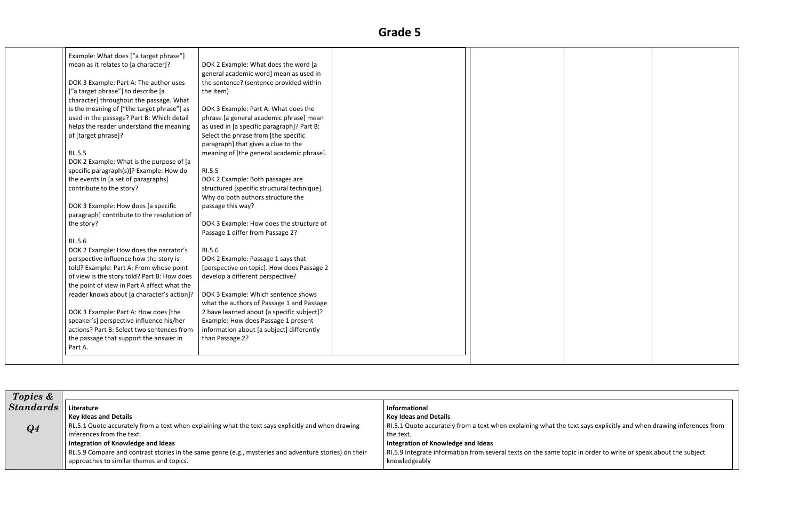| Example: What does ["a target phrase"]      |                                             |  |
|---------------------------------------------|---------------------------------------------|--|
| mean as it relates to [a character]?        | DOK 2 Example: What does the word [a        |  |
|                                             | general academic word] mean as used in      |  |
| DOK 3 Example: Part A: The author uses      | the sentence? (sentence provided within     |  |
| ["a target phrase"] to describe [a          | the item)                                   |  |
| character] throughout the passage. What     |                                             |  |
| is the meaning of ["the target phrase"] as  | DOK 3 Example: Part A: What does the        |  |
| used in the passage? Part B: Which detail   | phrase [a general academic phrase] mean     |  |
| helps the reader understand the meaning     | as used in [a specific paragraph]? Part B:  |  |
| of [target phrase]?                         | Select the phrase from [the specific        |  |
|                                             | paragraph] that gives a clue to the         |  |
| <b>RL.5.5</b>                               | meaning of [the general academic phrase].   |  |
| DOK 2 Example: What is the purpose of [a    |                                             |  |
| specific paragraph(s)]? Example: How do     | RI.5.5                                      |  |
| the events in [a set of paragraphs]         | DOK 2 Example: Both passages are            |  |
| contribute to the story?                    | structured [specific structural technique]. |  |
|                                             | Why do both authors structure the           |  |
| DOK 3 Example: How does [a specific         | passage this way?                           |  |
| paragraph] contribute to the resolution of  |                                             |  |
| the story?                                  | DOK 3 Example: How does the structure of    |  |
|                                             | Passage 1 differ from Passage 2?            |  |
| RL.5.6                                      |                                             |  |
| DOK 2 Example: How does the narrator's      | RI.5.6                                      |  |
| perspective influence how the story is      | DOK 2 Example: Passage 1 says that          |  |
| told? Example: Part A: From whose point     | [perspective on topic]. How does Passage 2  |  |
| of view is the story told? Part B: How does | develop a different perspective?            |  |
| the point of view in Part A affect what the |                                             |  |
| reader knows about [a character's action]?  | DOK 3 Example: Which sentence shows         |  |
|                                             | what the authors of Passage 1 and Passage   |  |
| DOK 3 Example: Part A: How does [the        | 2 have learned about [a specific subject]?  |  |
| speaker's] perspective influence his/her    | Example: How does Passage 1 present         |  |
| actions? Part B: Select two sentences from  | information about [a subject] differently   |  |
| the passage that support the answer in      | than Passage 2?                             |  |
| Part A.                                     |                                             |  |

| <b>Topics &amp;</b> |                                                                                                        |                                                                        |
|---------------------|--------------------------------------------------------------------------------------------------------|------------------------------------------------------------------------|
| <b>Standards</b>    | Literature                                                                                             | <b>Informational</b>                                                   |
|                     | <b>Key Ideas and Details</b>                                                                           | <b>Key Ideas and Details</b>                                           |
| $\boldsymbol{Q4}$   | RL.5.1 Quote accurately from a text when explaining what the text says explicitly and when drawing     | RI.5.1 Quote accurately from a text when explaining what the text say  |
|                     | inferences from the text.                                                                              | the text.                                                              |
|                     | Integration of Knowledge and Ideas                                                                     | Integration of Knowledge and Ideas                                     |
|                     | RL.5.9 Compare and contrast stories in the same genre (e.g., mysteries and adventure stories) on their | RI.5.9 Integrate information from several texts on the same topic in o |
|                     | approaches to similar themes and topics.                                                               | knowledgeably                                                          |
|                     |                                                                                                        |                                                                        |



ays explicitly and when drawing inferences from

order to write or speak about the subject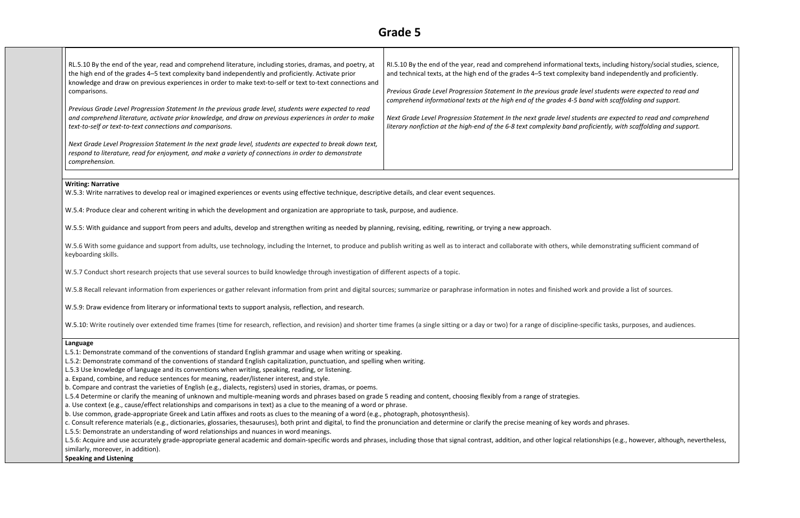| RL.5.10 By the end of the year, read and comprehend literature, including stories, dramas, and poetry, at<br>the high end of the grades 4-5 text complexity band independently and proficiently. Activate prior<br>knowledge and draw on previous experiences in order to make text-to-self or text to-text connections and | RI.5.10 By the end of the year, read and comprehend informational te.<br>and technical texts, at the high end of the grades 4-5 text complexity I |
|-----------------------------------------------------------------------------------------------------------------------------------------------------------------------------------------------------------------------------------------------------------------------------------------------------------------------------|---------------------------------------------------------------------------------------------------------------------------------------------------|
| comparisons.                                                                                                                                                                                                                                                                                                                | Previous Grade Level Progression Statement In the previous grade leve<br>comprehend informational texts at the high end of the grades 4-5 band    |
| Previous Grade Level Progression Statement In the previous grade level, students were expected to read                                                                                                                                                                                                                      |                                                                                                                                                   |
| and comprehend literature, activate prior knowledge, and draw on previous experiences in order to make<br>text-to-self or text-to-text connections and comparisons.                                                                                                                                                         | Next Grade Level Progression Statement In the next grade level studen<br>literary nonfiction at the high-end of the 6-8 text complexity band prof |
| Next Grade Level Progression Statement In the next grade level, students are expected to break down text,<br>respond to literature, read for enjoyment, and make a variety of connections in order to demonstrate<br>comprehension.                                                                                         |                                                                                                                                                   |

ts are expected to read and comprehend *literary nonfiction at the high-end of the 6-8 text complexity band proficiently, with scaffolding and support.*

W.5.6 With some guidance and support from adults, use technology, including the Internet, to produce and publish writing as well as to interact and collaborate with others, while demonstrating sufficient command of keyboarding skills.

W.5.7 Conduct short research projects that use several sources to build knowledge through investigation of different aspects of a topic.

W.5.8 Recall relevant information from experiences or gather relevant information from print and digital sources; summarize or paraphrase information in notes and finished work and provide a list of sources.

*Previous Grade Level Progression Statement In the previous grade level students were expected to read and comprehend informational texts at the high end of the grades 4-5 band with scaffolding and support.*

#### **Writing: Narrative**

W.5.3: Write narratives to develop real or imagined experiences or events using effective technique, descriptive details, and clear event sequences.

W.5.4: Produce clear and coherent writing in which the development and organization are appropriate to task, purpose, and audience.

W.5.5: With guidance and support from peers and adults, develop and strengthen writing as needed by planning, revising, editing, rewriting, or trying a new approach.

L.5.6: Acquire and use accurately grade-appropriate general academic and domain-specific words and phrases, including those that signal contrast, addition, and other logical relationships (e.g., however, although, neverthe similarly, moreover, in addition).

W.5.9: Draw evidence from literary or informational texts to support analysis, reflection, and research.

W.5.10: Write routinely over extended time frames (time for research, reflection, and revision) and shorter time frames (a single sitting or a day or two) for a range of discipline-specific tasks, purposes, and audiences.

#### **Language**

L.5.1: Demonstrate command of the conventions of standard English grammar and usage when writing or speaking.

L.5.2: Demonstrate command of the conventions of standard English capitalization, punctuation, and spelling when writing.

L.5.3 Use knowledge of language and its conventions when writing, speaking, reading, or listening.

a. Expand, combine, and reduce sentences for meaning, reader/listener interest, and style.

b. Compare and contrast the varieties of English (e.g., dialects, registers) used in stories, dramas, or poems.

L.5.4 Determine or clarify the meaning of unknown and multiple-meaning words and phrases based on grade 5 reading and content, choosing flexibly from a range of strategies.

a. Use context (e.g., cause/effect relationships and comparisons in text) as a clue to the meaning of a word or phrase.

b. Use common, grade-appropriate Greek and Latin affixes and roots as clues to the meaning of a word (e.g., photograph, photosynthesis).

c. Consult reference materials (e.g., dictionaries, glossaries, thesauruses), both print and digital, to find the pronunciation and determine or clarify the precise meaning of key words and phrases. L.5.5: Demonstrate an understanding of word relationships and nuances in word meanings.

#### **Speaking and Listening**

xts, including history/social studies, science, band independently and proficiently.